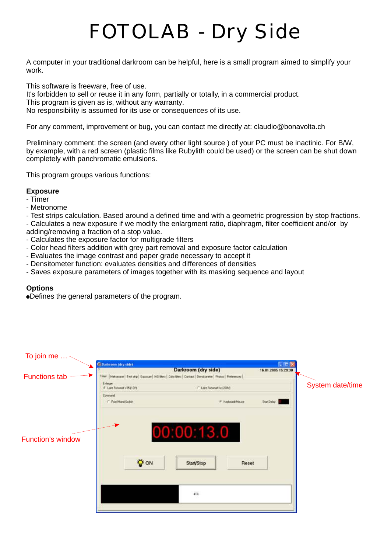# *FOTOLAB - Dry Side*

A computer in your traditional darkroom can be helpful, here is a small program aimed to simplify your work.

This software is freeware, free of use.

It's forbidden to sell or reuse it in any form, partially or totally, in a commercial product. This program is given as is, without any warranty. No responsibility is assumed for its use or consequences of its use.

For any comment, improvement or bug, you can contact me directly at: claudio@bonavolta.ch

Preliminary comment: the screen (and every other light source ) of your PC must be inactinic. For B/W, by example, with a red screen (plastic films like Rubylith could be used) or the screen can be shut down completely with panchromatic emulsions.

This program groups various functions:

#### **Exposure**

- Timer
- Metronome
- Test strips calculation. Based around a defined time and with a geometric progression by stop fractions.
- Calculates a new exposure if we modify the enlargment ratio, diaphragm, filter coefficient and/or by adding/removing a fraction of a stop value.
- Calculates the exposure factor for multigrade filters
- Color head filters addition with grey part removal and exposure factor calculation
- Evaluates the image contrast and paper grade necessary to accept it
- Densitometer function: evaluates densities and differences of densities
- Saves exposure parameters of images together with its masking sequence and layout

#### **Options**

!Defines the general parameters of the program.

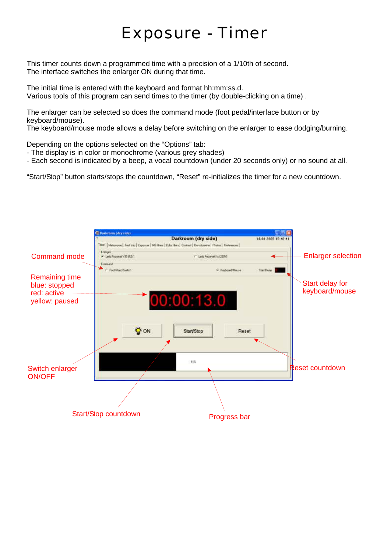### *Exposure - Timer*

This timer counts down a programmed time with a precision of a 1/10th of second. The interface switches the enlarger ON during that time.

The initial time is entered with the keyboard and format hh:mm:ss.d. Various tools of this program can send times to the timer (by double-clicking on a time) .

The enlarger can be selected so does the command mode (foot pedal/interface button or by keyboard/mouse).

The keyboard/mouse mode allows a delay before switching on the enlarger to ease dodging/burning.

Depending on the options selected on the "Options" tab:

- The display is in color or monochrome (various grey shades)
- Each second is indicated by a beep, a vocal countdown (under 20 seconds only) or no sound at all.

"Start/Stop" button starts/stops the countdown, "Reset" re-initializes the timer for a new countdown.

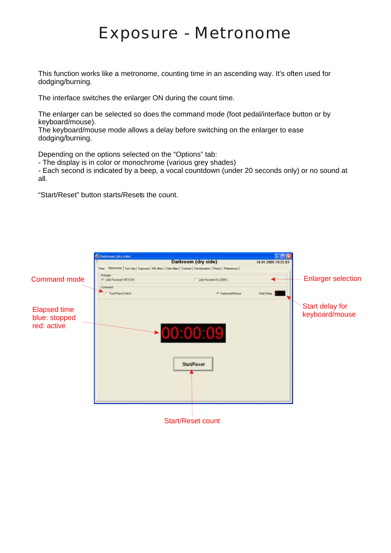### *Exposure - Metronome*

This function works like a metronome, counting time in an ascending way. It's often used for dodging/burning.

The interface switches the enlarger ON during the count time.

The enlarger can be selected so does the command mode (foot pedal/interface button or by keyboard/mouse).

The keyboard/mouse mode allows a delay before switching on the enlarger to ease dodging/burning.

Depending on the options selected on the "Options" tab:

- The display is in color or monochrome (various grey shades)

- Each second is indicated by a beep, a vocal countdown (under 20 seconds only) or no sound at all.

"Start/Reset" button starts/Resets the count.

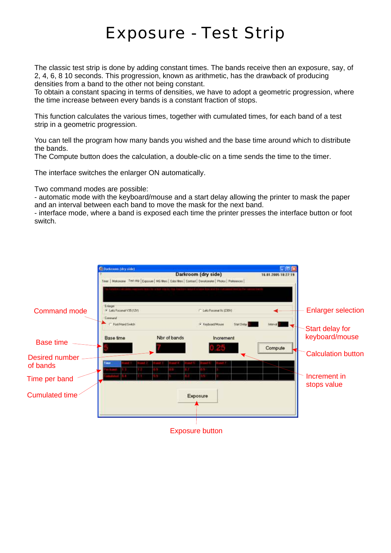### *Exposure - Test Strip*

The classic test strip is done by adding constant times. The bands receive then an exposure, say, of 2, 4, 6, 8 10 seconds. This progression, known as arithmetic, has the drawback of producing densities from a band to the other not being constant.

To obtain a constant spacing in terms of densities, we have to adopt a geometric progression, where the time increase between every bands is a constant fraction of stops.

This function calculates the various times, together with cumulated times, for each band of a test strip in a geometric progression.

You can tell the program how many bands you wished and the base time around which to distribute the bands.

The Compute button does the calculation, a double-clic on a time sends the time to the timer.

The interface switches the enlarger ON automatically.

Two command modes are possible:

- automatic mode with the keyboard/mouse and a start delay allowing the printer to mask the paper and an interval between each band to move the mask for the next band.

- interface mode, where a band is exposed each time the printer presses the interface button or foot switch.

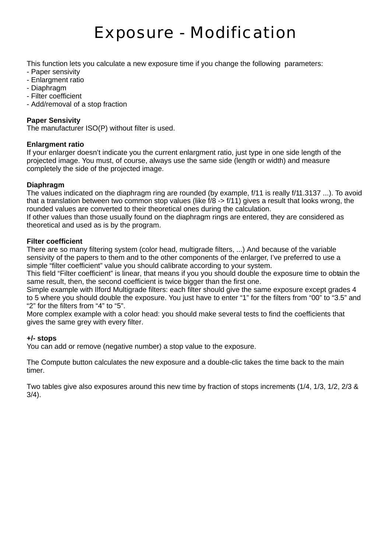### *Exposure - Modification*

This function lets you calculate a new exposure time if you change the following parameters:

- Paper sensivity
- Enlargment ratio
- Diaphragm
- Filter coefficient
- Add/removal of a stop fraction

#### **Paper Sensivity**

The manufacturer ISO(P) without filter is used.

#### **Enlargment ratio**

If your enlarger doesn't indicate you the current enlargment ratio, just type in one side length of the projected image. You must, of course, always use the same side (length or width) and measure completely the side of the projected image.

#### **Diaphragm**

The values indicated on the diaphragm ring are rounded (by example, f/11 is really f/11.3137 ...). To avoid that a translation between two common stop values (like f/8 -> f/11) gives a result that looks wrong, the rounded values are converted to their theoretical ones during the calculation.

If other values than those usually found on the diaphragm rings are entered, they are considered as theoretical and used as is by the program.

#### **Filter coefficient**

There are so many filtering system (color head, multigrade filters, ...) And because of the variable sensivity of the papers to them and to the other components of the enlarger, I've preferred to use a simple "filter coefficient" value you should calibrate according to your system.

This field "Filter coefficient" is linear, that means if you you should double the exposure time to obtain the same result, then, the second coefficient is twice bigger than the first one.

Simple example with Ilford Multigrade filters: each filter should give the same exposure except grades 4 to 5 where you should double the exposure. You just have to enter "1" for the filters from "00" to "3.5" and "2" for the filters from "4" to "5".

More complex example with a color head: you should make several tests to find the coefficients that gives the same grey with every filter.

#### **+/- stops**

You can add or remove (negative number) a stop value to the exposure.

The Compute button calculates the new exposure and a double-clic takes the time back to the main timer.

Two tables give also exposures around this new time by fraction of stops increments (1/4, 1/3, 1/2, 2/3 & 3/4).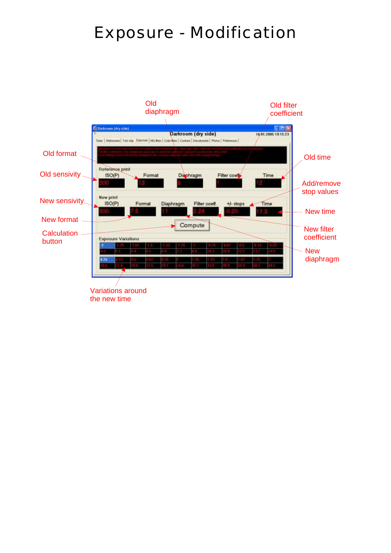### *Exposure - Modification*

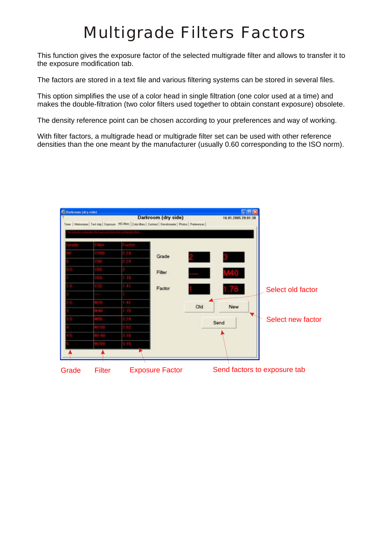### *Multigrade Filters Factors*

This function gives the exposure factor of the selected multigrade filter and allows to transfer it to the exposure modification tab.

The factors are stored in a text file and various filtering systems can be stored in several files.

This option simplifies the use of a color head in single filtration (one color used at a time) and makes the double-filtration (two color filters used together to obtain constant exposure) obsolete.

The density reference point can be chosen according to your preferences and way of working.

With filter factors, a multigrade head or multigrade filter set can be used with other reference densities than the one meant by the manufacturer (usually 0.60 corresponding to the ISO norm).

|  | Time   Metorcre   Test mp   Exposure MG WATE   Color Mess   Contrast   Denstoneler   Photos   Preferences |     |      |                   |
|--|-----------------------------------------------------------------------------------------------------------|-----|------|-------------------|
|  |                                                                                                           |     |      |                   |
|  | Grade                                                                                                     |     |      |                   |
|  |                                                                                                           |     |      |                   |
|  | Filter                                                                                                    |     |      |                   |
|  |                                                                                                           |     |      |                   |
|  | Factor                                                                                                    |     |      | Select old factor |
|  |                                                                                                           |     |      |                   |
|  |                                                                                                           | Old | New  |                   |
|  |                                                                                                           |     |      |                   |
|  |                                                                                                           |     | Send | Select new factor |
|  |                                                                                                           |     |      |                   |
|  |                                                                                                           |     |      |                   |
|  |                                                                                                           |     |      |                   |
|  |                                                                                                           |     |      |                   |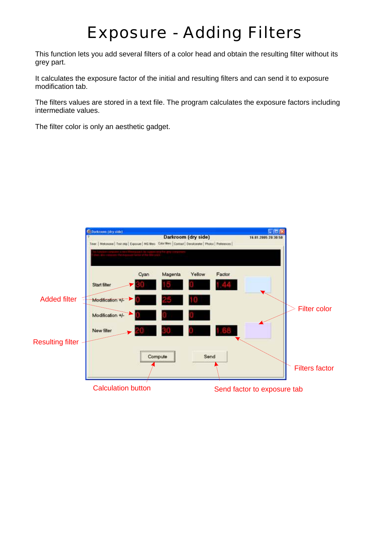### *Exposure - Adding Filters*

This function lets you add several filters of a color head and obtain the resulting filter without its grey part.

It calculates the exposure factor of the initial and resulting filters and can send it to exposure modification tab.

The filters values are stored in a text file. The program calculates the exposure factors including intermediate values.

The filter color is only an aesthetic gadget.

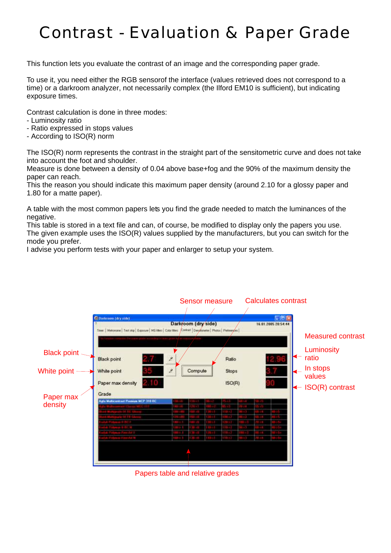## *Contrast - Evaluation & Paper Grade*

This function lets you evaluate the contrast of an image and the corresponding paper grade.

To use it, you need either the RGB sensorof the interface (values retrieved does not correspond to a time) or a darkroom analyzer, not necessarily complex (the Ilford EM10 is sufficient), but indicating exposure times.

Contrast calculation is done in three modes:

- Luminosity ratio
- Ratio expressed in stops values
- According to ISO(R) norm

The ISO(R) norm represents the contrast in the straight part of the sensitometric curve and does not take into account the foot and shoulder.

Measure is done between a density of 0.04 above base+fog and the 90% of the maximum density the paper can reach.

This the reason you should indicate this maximum paper density (around 2.10 for a glossy paper and 1.80 for a matte paper).

A table with the most common papers lets you find the grade needed to match the luminances of the negative.

This table is stored in a text file and can, of course, be modified to display only the papers you use. The given example uses the ISO(R) values supplied by the manufacturers, but you can switch for the mode you prefer.

I advise you perform tests with your paper and enlarger to setup your system.

|                                                            |                                                                                                                                                                  | Sensor measure |               |        |    | <b>Calculates contrast</b> |        |                              |  |  |
|------------------------------------------------------------|------------------------------------------------------------------------------------------------------------------------------------------------------------------|----------------|---------------|--------|----|----------------------------|--------|------------------------------|--|--|
|                                                            |                                                                                                                                                                  |                |               |        |    |                            |        |                              |  |  |
|                                                            |                                                                                                                                                                  |                |               |        |    |                            |        |                              |  |  |
| C Darkroom (dry side)                                      |                                                                                                                                                                  |                |               |        |    |                            | $-108$ |                              |  |  |
|                                                            | Dark/oom (dry/side)<br>16.01.2005 20:54:44<br>Time:   Metonone   Test stip   Exposure   MS Hites   Color Hites   Contrast   Desylionates   Photos   Parketeryons |                |               |        |    |                            |        |                              |  |  |
|                                                            |                                                                                                                                                                  |                |               |        |    |                            |        |                              |  |  |
|                                                            |                                                                                                                                                                  |                |               |        |    |                            |        | <b>Measured contrast</b>     |  |  |
|                                                            |                                                                                                                                                                  |                |               |        |    |                            |        |                              |  |  |
| <b>Black point</b>                                         |                                                                                                                                                                  |                |               |        |    |                            |        | Luminosity                   |  |  |
| Black point                                                | Ž                                                                                                                                                                |                |               | Ratio  |    |                            |        | ←<br>ratio                   |  |  |
|                                                            |                                                                                                                                                                  |                |               |        |    |                            |        | In stops                     |  |  |
| White point<br>White point                                 | Ž                                                                                                                                                                | Compute        |               | Stops  |    |                            |        |                              |  |  |
|                                                            |                                                                                                                                                                  |                |               |        |    |                            |        | values                       |  |  |
| Paper max density<br>41 O                                  |                                                                                                                                                                  |                |               | ISO(R) |    |                            |        | $\leftarrow$ ISO(R) contrast |  |  |
| Grade                                                      |                                                                                                                                                                  |                |               |        |    |                            |        |                              |  |  |
| Paper max<br><b>Agla Multicantrast Pressure NCP 318 RC</b> |                                                                                                                                                                  |                |               |        |    |                            |        |                              |  |  |
| density                                                    | 411-111                                                                                                                                                          |                |               |        |    |                            |        |                              |  |  |
|                                                            |                                                                                                                                                                  |                |               |        |    |                            |        |                              |  |  |
|                                                            |                                                                                                                                                                  |                |               |        |    |                            |        |                              |  |  |
|                                                            | 411 11                                                                                                                                                           |                | - 1           |        |    |                            |        |                              |  |  |
| showing Fase Art                                           | $\mathbf{m}$ and<br>H e l                                                                                                                                        |                | i i           |        |    |                            |        |                              |  |  |
| <b>Polyant Towns I</b>                                     | an a t                                                                                                                                                           |                | <b>Signal</b> |        | F. |                            |        |                              |  |  |
|                                                            |                                                                                                                                                                  |                |               |        |    |                            |        |                              |  |  |
|                                                            |                                                                                                                                                                  |                |               |        |    |                            |        |                              |  |  |
|                                                            |                                                                                                                                                                  |                |               |        |    |                            |        |                              |  |  |
|                                                            |                                                                                                                                                                  |                |               |        |    |                            |        |                              |  |  |
| Papers table and relative grades                           |                                                                                                                                                                  |                |               |        |    |                            |        |                              |  |  |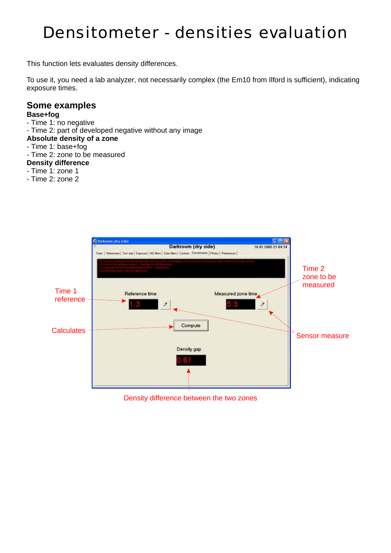### *Densitometer - densities evaluation*

This function lets evaluates density differences.

To use it, you need a lab analyzer, not necessarily complex (the Em10 from Ilford is sufficient), indicating exposure times.

#### **Some examples**

#### **Base+fog**

- Time 1: no negative
- Time 2: part of developed negative without any image

#### **Absolute density of a zone**

- Time 1: base+fog
- Time 2: zone to be measured

#### **Density difference**

- Time 1: zone 1
- Time 2: zone 2



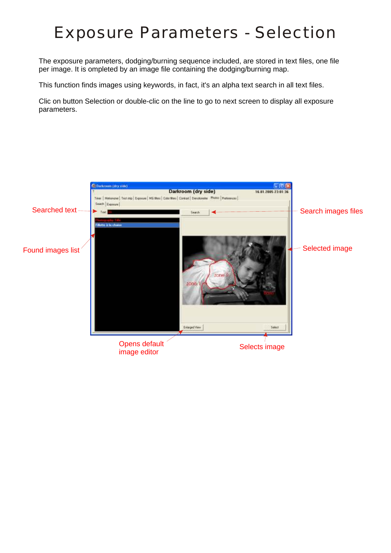### *Exposure Parameters - Selection*

The exposure parameters, dodging/burning sequence included, are stored in text files, one file per image. It is ompleted by an image file containing the dodging/burning map.

This function finds images using keywords, in fact, it's an alpha text search in all text files.

Clic on button Selection or double-clic on the line to go to next screen to display all exposure parameters.

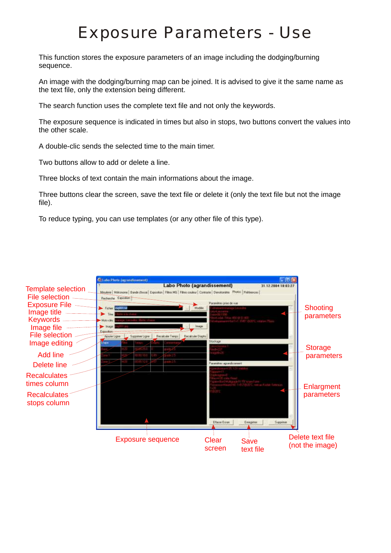### *Exposure Parameters - Use*

This function stores the exposure parameters of an image including the dodging/burning sequence.

An image with the dodging/burning map can be joined. It is advised to give it the same name as the text file, only the extension being different.

The search function uses the complete text file and not only the keywords.

The exposure sequence is indicated in times but also in stops, two buttons convert the values into the other scale.

A double-clic sends the selected time to the main timer.

Two buttons allow to add or delete a line.

Three blocks of text contain the main informations about the image.

Three buttons clear the screen, save the text file or delete it (only the text file but not the image file).

To reduce typing, you can use templates (or any other file of this type).